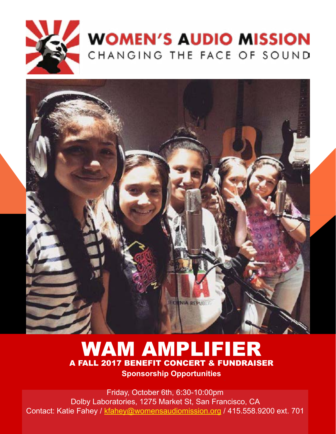

# **WOMEN'S AUDIO MISSION** CHANGING THE FACE OF SOUND



## WAM AMPLIFIER A FALL 2017 BENEFIT CONCERT & FUNDRAISER **Sponsorship Opportunities**

Friday, October 6th, 6:30-10:00pm Dolby Laboratories, 1275 Market St, San Francisco, CA Contact: Katie Fahey / [kfahey@womensaudiomission.org](http://kfahey@womensaudiomission.org) / 415.558.9200 ext. 701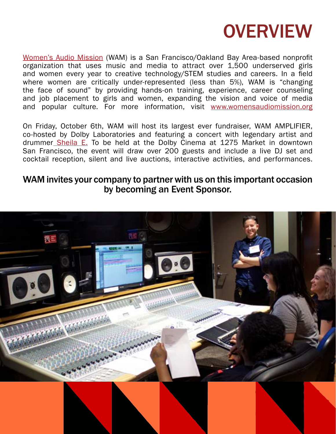

[Women's Audio Mission](https://www.womensaudiomission.org/) (WAM) is a San Francisco/Oakland Bay Area-based nonprofit organization that uses music and media to attract over 1,500 underserved girls and women every year to creative technology/STEM studies and careers. In a field where women are critically under-represented (less than 5%), WAM is "changing the face of sound" by providing hands-on training, experience, career counseling and job placement to girls and women, expanding the vision and voice of media and popular culture. For more information, visit [www.womensaudiomission.org](http://www.womensaudiomission.org)

On Friday, October 6th, WAM will host its largest ever fundraiser, WAM AMPLIFIER, co-hosted by Dolby Laboratories and featuring a concert with legendary artist and drummer [Sheila E.](https://www.sheilae.com/) To be held at the Dolby Cinema at 1275 Market in downtown San Francisco, the event will draw over 200 guests and include a live DJ set and cocktail reception, silent and live auctions, interactive activities, and performances.

#### WAM invites your company to partner with us on this important occasion by becoming an Event Sponsor.

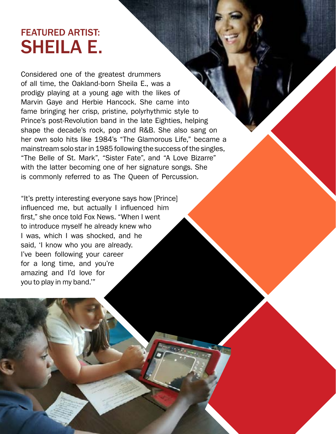## FEATURED ARTIST: SHEILA E.

Considered one of the greatest drummers of all time, the Oakland-born Sheila E., was a prodigy playing at a young age with the likes of Marvin Gaye and Herbie Hancock. She came into fame bringing her crisp, pristine, polyrhythmic style to Prince's post-Revolution band in the late Eighties, helping shape the decade's rock, pop and R&B. She also sang on her own solo hits like 1984's "The Glamorous Life," became a mainstream solo star in 1985 following the success of the singles, "The Belle of St. Mark", "Sister Fate", and "A Love Bizarre" with the latter becoming one of her signature songs. She is commonly referred to as The Queen of Percussion.

"It's pretty interesting everyone says how [Prince] influenced me, but actually I influenced him first," she once told Fox News. "When I went to introduce myself he already knew who I was, which I was shocked, and he said, 'I know who you are already. I've been following your career for a long time, and you're amazing and I'd love for you to play in my band.'"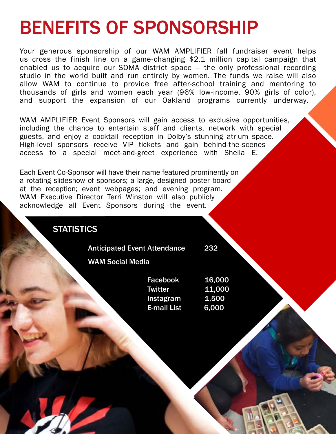# BENEFITS OF SPONSORSHIP

Your generous sponsorship of our WAM AMPLIFIER fall fundraiser event helps us cross the finish line on a game-changing \$2.1 million capital campaign that enabled us to acquire our SOMA district space – the only professional recording studio in the world built and run entirely by women. The funds we raise will also allow WAM to continue to provide free after-school training and mentoring to thousands of girls and women each year (96% low-income, 90% girls of color), and support the expansion of our Oakland programs currently underway.

WAM AMPLIFIER Event Sponsors will gain access to exclusive opportunities, including the chance to entertain staff and clients, network with special guests, and enjoy a cocktail reception in Dolby's stunning atrium space. High-level sponsors receive VIP tickets and gain behind-the-scenes access to a special meet-and-greet experience with Sheila E.

Each Event Co-Sponsor will have their name featured prominently on a rotating slideshow of sponsors; a large, designed poster board at the reception; event webpages; and evening program. WAM Executive Director Terri Winston will also publicly acknowledge all Event Sponsors during the event.

**STATISTICS** 

I

Anticipated Event Attendance 232

WAM Social Media

l

| Facebook           | 16,000 |
|--------------------|--------|
| Twitter            | 11,000 |
| Instagram          | 1,500  |
| <b>E-mail List</b> | 6.000  |
|                    |        |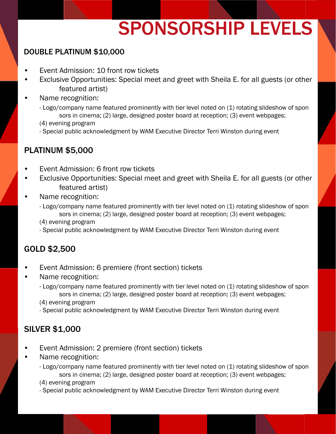# SPONSORSHIP LEVELS

#### DOUBLE PLATINUM \$10,000

- Event Admission: 10 front row tickets
- Exclusive Opportunities: Special meet and greet with Sheila E. for all guests (or other featured artist)
- Name recognition:
	- Logo/company name featured prominently with tier level noted on (1) rotating slideshow of spon sors in cinema; (2) large, designed poster board at reception; (3) event webpages; (4) evening program
	- Special public acknowledgment by WAM Executive Director Terri Winston during event

#### PLATINUM \$5,000

- Event Admission: 6 front row tickets
- Exclusive Opportunities: Special meet and greet with Sheila E. for all guests (or other featured artist)
- Name recognition:
	- Logo/company name featured prominently with tier level noted on (1) rotating slideshow of spon sors in cinema; (2) large, designed poster board at reception; (3) event webpages;
	- (4) evening program
	- Special public acknowledgment by WAM Executive Director Terri Winston during event

#### GOLD \$2,500

- Event Admission: 6 premiere (front section) tickets
- Name recognition:
	- Logo/company name featured prominently with tier level noted on (1) rotating slideshow of spon sors in cinema; (2) large, designed poster board at reception; (3) event webpages;
	- (4) evening program
	- Special public acknowledgment by WAM Executive Director Terri Winston during event

#### SILVER \$1,000

- Event Admission: 2 premiere (front section) tickets
- Name recognition:
	- Logo/company name featured prominently with tier level noted on (1) rotating slideshow of spon sors in cinema; (2) large, designed poster board at reception; (3) event webpages;
	- (4) evening program
	- Special public acknowledgment by WAM Executive Director Terri Winston during event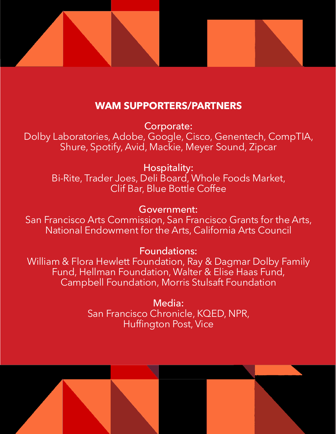

### **WAM SUPPORTERS/PARTNERS**

Corporate: Dolby Laboratories, Adobe, Google, Cisco, Genentech, CompTIA, Shure, Spotify, Avid, Mackie, Meyer Sound, Zipcar

Hospitality: Bi-Rite, Trader Joes, Deli Board, Whole Foods Market, Clif Bar, Blue Bottle Coffee

Government:

San Francisco Arts Commission, San Francisco Grants for the Arts, National Endowment for the Arts, California Arts Council

Foundations:

William & Flora Hewlett Foundation, Ray & Dagmar Dolby Family Fund, Hellman Foundation, Walter & Elise Haas Fund, Campbell Foundation, Morris Stulsaft Foundation

> Media: San Francisco Chronicle, KQED, NPR, Huffington Post, Vice